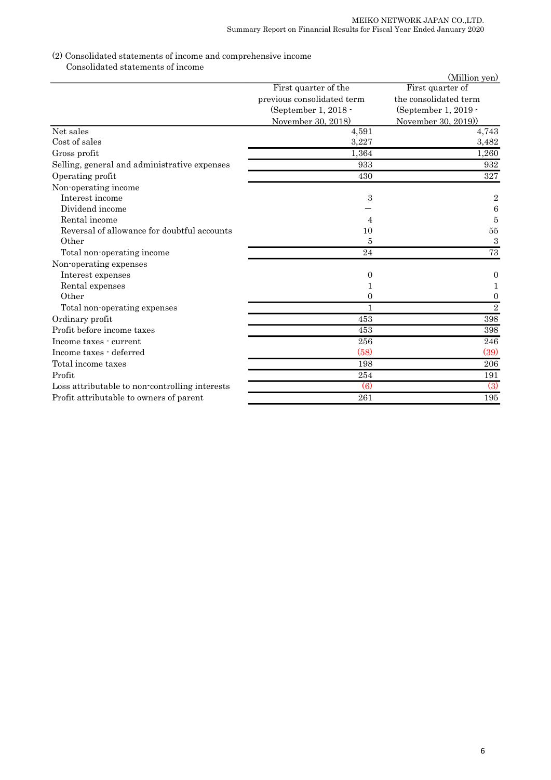## (2) Consolidated statements of income and comprehensive income

Consolidated statements of income

| First quarter of the<br>previous consolidated term<br>(September 1, 2018 -<br>November 30, 2018) | First quarter of<br>the consolidated term<br>(September 1, 2019 -<br>November 30, 2019)<br>4,743<br>3,482<br>1,260 |
|--------------------------------------------------------------------------------------------------|--------------------------------------------------------------------------------------------------------------------|
|                                                                                                  |                                                                                                                    |
|                                                                                                  |                                                                                                                    |
|                                                                                                  |                                                                                                                    |
|                                                                                                  |                                                                                                                    |
| Net sales<br>4,591                                                                               |                                                                                                                    |
| Cost of sales<br>3,227                                                                           |                                                                                                                    |
| 1,364<br>Gross profit                                                                            |                                                                                                                    |
| Selling, general and administrative expenses<br>933                                              | 932                                                                                                                |
| 430<br>Operating profit                                                                          | 327                                                                                                                |
| Non-operating income                                                                             |                                                                                                                    |
| Interest income<br>3                                                                             | $\boldsymbol{2}$                                                                                                   |
| Dividend income                                                                                  | 6                                                                                                                  |
| Rental income                                                                                    | 5                                                                                                                  |
| Reversal of allowance for doubtful accounts<br>10                                                | $55\,$                                                                                                             |
| Other<br>5                                                                                       | $\sqrt{3}$                                                                                                         |
| Total non-operating income<br>24                                                                 | 73                                                                                                                 |
| Non-operating expenses                                                                           |                                                                                                                    |
| Interest expenses<br>0                                                                           | 0                                                                                                                  |
| Rental expenses                                                                                  | 1                                                                                                                  |
| Other<br>0                                                                                       | $\mathbf{0}$                                                                                                       |
| 1<br>Total non-operating expenses                                                                | $\overline{2}$                                                                                                     |
| Ordinary profit<br>453                                                                           | 398                                                                                                                |
| Profit before income taxes<br>453                                                                | 398                                                                                                                |
| 256<br>Income taxes - current                                                                    | 246                                                                                                                |
| (58)<br>Income taxes - deferred                                                                  | (39)                                                                                                               |
| Total income taxes<br>198                                                                        | 206                                                                                                                |
| Profit<br>254                                                                                    | 191                                                                                                                |
| $\left(6\right)$<br>Loss attributable to non-controlling interests                               | $\overline{3}$                                                                                                     |
| 261<br>Profit attributable to owners of parent                                                   | 195                                                                                                                |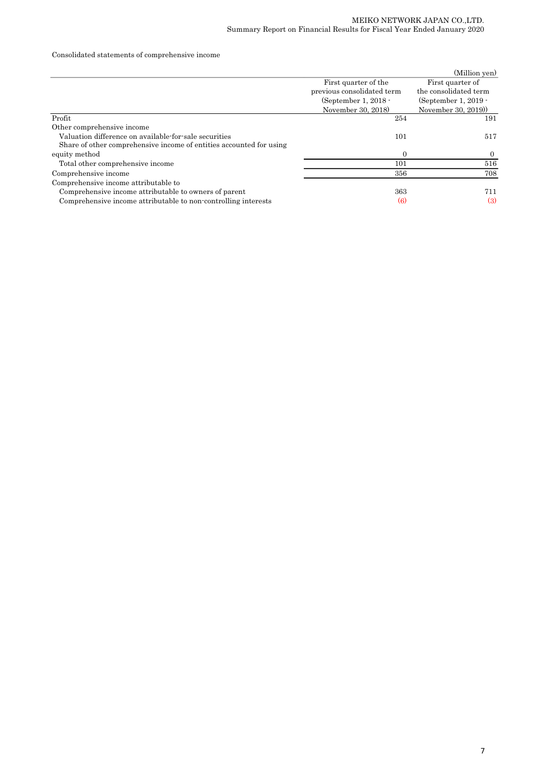## Consolidated statements of comprehensive income

|                                                                     |                            | (Million yen)         |
|---------------------------------------------------------------------|----------------------------|-----------------------|
|                                                                     | First quarter of the       | First quarter of      |
|                                                                     | previous consolidated term | the consolidated term |
|                                                                     | (September 1, $2018 -$     | (September 1, 2019 -  |
|                                                                     | November 30, 2018)         | November 30, 2019)    |
| Profit                                                              | 254                        | 191                   |
| Other comprehensive income                                          |                            |                       |
| Valuation difference on available for sale securities               | 101                        | 517                   |
| Share of other comprehensive income of entities accounted for using |                            |                       |
| equity method                                                       | $\Omega$                   | $\Omega$              |
| Total other comprehensive income                                    | 101                        | 516                   |
| Comprehensive income                                                | 356                        | 708                   |
| Comprehensive income attributable to                                |                            |                       |
| Comprehensive income attributable to owners of parent               | 363                        | 711                   |
| Comprehensive income attributable to non-controlling interests      | $\left(6\right)$           | $\left(3\right)$      |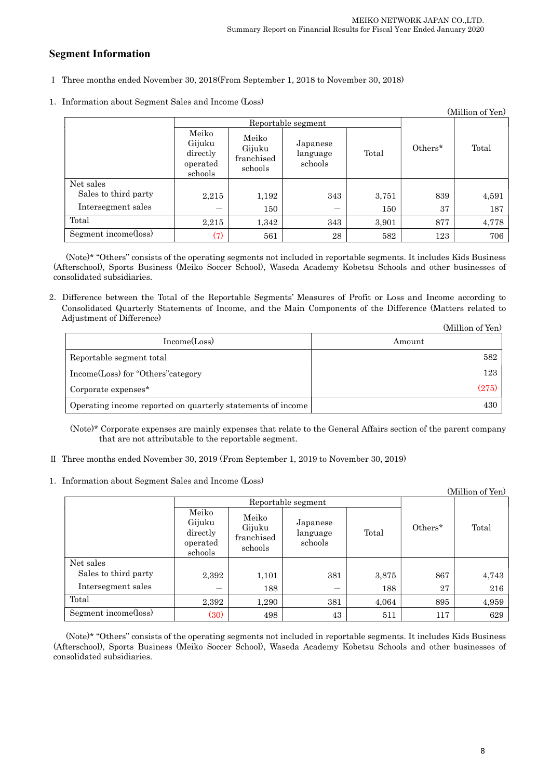## Segment Information

- Ⅰ Three months ended November 30, 2018(From September 1, 2018 to November 30, 2018)
- 1.Information about Segment Sales and Income (Loss)

| (Million of Yen)     |                                                    |                                          |                                 |       |         |       |
|----------------------|----------------------------------------------------|------------------------------------------|---------------------------------|-------|---------|-------|
|                      | Reportable segment                                 |                                          |                                 |       |         |       |
|                      | Meiko<br>Gijuku<br>directly<br>operated<br>schools | Meiko<br>Gijuku<br>franchised<br>schools | Japanese<br>language<br>schools | Total | Others* | Total |
| Net sales            |                                                    |                                          |                                 |       |         |       |
| Sales to third party | 2,215                                              | 1,192                                    | 343                             | 3,751 | 839     | 4,591 |
| Intersegment sales   | --                                                 | 150                                      |                                 | 150   | 37      | 187   |
| Total                | 2,215                                              | 1,342                                    | 343                             | 3,901 | 877     | 4,778 |
| Segment income(loss) | (7)                                                | 561                                      | 28                              | 582   | 123     | 706   |

(Note)\* "Others" consists of the operating segments not included in reportable segments. It includes Kids Business (Afterschool), Sports Business (Meiko Soccer School), Waseda Academy Kobetsu Schools and other businesses of consolidated subsidiaries.

2.Difference between the Total of the Reportable Segments' Measures of Profit or Loss and Income according to Consolidated Quarterly Statements of Income, and the Main Components of the Difference (Matters related to Adjustment of Difference)  $(11)$   $(27)$ 

|                                                             | (Million of Yen) |
|-------------------------------------------------------------|------------------|
| Income(Loss)                                                | Amount           |
| Reportable segment total                                    | 582              |
| Income(Loss) for "Others" category                          | 123              |
| Corporate expenses <sup>*</sup>                             | (275)            |
| Operating income reported on quarterly statements of income | 430              |

(Note)\* Corporate expenses are mainly expenses that relate to the General Affairs section of the parent company that are not attributable to the reportable segment.

- Ⅱ Three months ended November 30, 2019 (From September 1, 2019 to November 30, 2019)
- 1.Information about Segment Sales and Income (Loss)

| (Million of Yen)     |                                                    |                                          |                                 |       |         |       |
|----------------------|----------------------------------------------------|------------------------------------------|---------------------------------|-------|---------|-------|
|                      | Reportable segment                                 |                                          |                                 |       |         |       |
|                      | Meiko<br>Gijuku<br>directly<br>operated<br>schools | Meiko<br>Gijuku<br>franchised<br>schools | Japanese<br>language<br>schools | Total | Others* | Total |
| Net sales            |                                                    |                                          |                                 |       |         |       |
| Sales to third party | 2,392                                              | 1,101                                    | 381                             | 3,875 | 867     | 4,743 |
| Intersegment sales   | —                                                  | 188                                      |                                 | 188   | 27      | 216   |
| Total                | 2,392                                              | 1,290                                    | 381                             | 4,064 | 895     | 4,959 |
| Segment income(loss) | (30)                                               | 498                                      | 43                              | 511   | 117     | 629   |

(Note)\* "Others" consists of the operating segments not included in reportable segments. It includes Kids Business (Afterschool), Sports Business (Meiko Soccer School), Waseda Academy Kobetsu Schools and other businesses of consolidated subsidiaries.